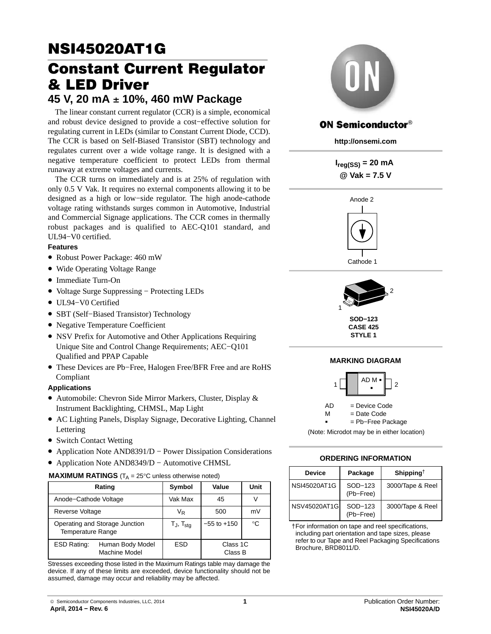# **NSI45020AT1G<br>Constant Current Requlator & LED Driver**

## & LED Driver **45 V, 20 mA** - **10%, 460 mW Package**

The linear constant current regulator (CCR) is a simple, economical and robust device designed to provide a cost−effective solution for regulating current in LEDs (similar to Constant Current Diode, CCD). The CCR is based on Self-Biased Transistor (SBT) technology and regulates current over a wide voltage range. It is designed with a negative temperature coefficient to protect LEDs from thermal runaway at extreme voltages and currents.

The CCR turns on immediately and is at 25% of regulation with only 0.5 V Vak. It requires no external components allowing it to be designed as a high or low−side regulator. The high anode-cathode voltage rating withstands surges common in Automotive, Industrial and Commercial Signage applications. The CCR comes in thermally robust packages and is qualified to AEC-Q101 standard, and UL94−V0 certified.

#### **Features**

- Robust Power Package: 460 mW
- Wide Operating Voltage Range
- Immediate Turn-On
- Voltage Surge Suppressing − Protecting LEDs
- UL94−V0 Certified
- SBT (Self−Biased Transistor) Technology
- Negative Temperature Coefficient
- NSV Prefix for Automotive and Other Applications Requiring Unique Site and Control Change Requirements; AEC−Q101 Qualified and PPAP Capable
- These Devices are Pb−Free, Halogen Free/BFR Free and are RoHS Compliant

#### **Applications**

- Automobile: Chevron Side Mirror Markers, Cluster, Display & Instrument Backlighting, CHMSL, Map Light
- AC Lighting Panels, Display Signage, Decorative Lighting, Channel Lettering
- Switch Contact Wetting
- Application Note AND8391/D − Power Dissipation Considerations
- Application Note AND8349/D − Automotive CHMSL

#### **MAXIMUM RATINGS**  $(T_A = 25^\circ \text{C}$  unless otherwise noted)

|                                                            | Rating                                   | Symbol                   | Value               | Unit        |
|------------------------------------------------------------|------------------------------------------|--------------------------|---------------------|-------------|
| Anode-Cathode Voltage                                      |                                          | Vak Max                  | 45                  |             |
| Reverse Voltage                                            |                                          | VR                       | 500                 | mV          |
| Operating and Storage Junction<br><b>Temperature Range</b> |                                          | $T_J$ , $T_{\text{stg}}$ | $-55$ to $+150$     | $^{\circ}C$ |
| ESD Rating:                                                | Human Body Model<br><b>Machine Model</b> | <b>ESD</b>               | Class 1C<br>Class B |             |

Stresses exceeding those listed in the Maximum Ratings table may damage the device. If any of these limits are exceeded, device functionality should not be assumed, damage may occur and reliability may be affected.



#### **ON Semiconductor®**

**http://onsemi.com**

 $I_{\text{req}(SS)} = 20 \text{ mA}$ **@ Vak = 7.5 V**



Cathode 1



**SOD−123 CASE 425 STYLE 1**

#### **MARKING DIAGRAM** AD M --1  $\parallel$   $\parallel$   $\parallel$   $\parallel$   $\parallel$   $\parallel$  2

AD = Device Code  $=$  Date Code  ${\sf M}$ = Pb−Free Package

(Note: Microdot may be in either location)

#### **ORDERING INFORMATION**

| <b>Device</b> | Package              | Shipping <sup>†</sup> |
|---------------|----------------------|-----------------------|
| NSI45020AT1G  | SOD-123<br>(Pb-Free) | 3000/Tape & Reel      |
| NSV45020AT1GI | SOD-123<br>(Pb-Free) | 3000/Tape & Reel      |

†For information on tape and reel specifications, including part orientation and tape sizes, please refer to our Tape and Reel Packaging Specifications Brochure, BRD8011/D.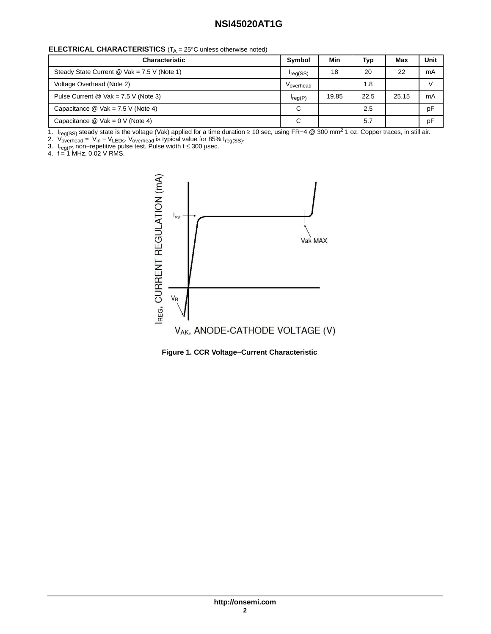#### **ELECTRICAL CHARACTERISTICS** (T<sub>A</sub> = 25°C unless otherwise noted)

| <b>Characteristic</b>                         | Symbol        | Min   | Typ  | Max   | Unit |
|-----------------------------------------------|---------------|-------|------|-------|------|
| Steady State Current $@$ Vak = 7.5 V (Note 1) | $I_{reg(SS)}$ | 18    | 20   | 22    | mA   |
| Voltage Overhead (Note 2)                     | Voverhead     |       | 1.8  |       |      |
| Pulse Current @ $Vak = 7.5 V$ (Note 3)        | $I_{req}(P)$  | 19.85 | 22.5 | 25.15 | mA   |
| Capacitance $@$ Vak = 7.5 V (Note 4)          | C             |       | 2.5  |       | pF   |
| Capacitance $@$ Vak = 0 V (Note 4)            | С             |       | 5.7  |       | pF   |

1. I<sub>reg(SS)</sub> steady state is the voltage (Vak) applied for a time duration ≥ 10 sec, using FR–4 @ 300 mm<sup>2</sup> 1 oz. Copper traces, in still air.

2. V<sub>overhead</sub> = V<sub>in</sub> – V<sub>LEDs</sub>. V<sub>overhead</sub> is typical value for 85% I<sub>reg(SS)</sub>.

3. I<sub>reg(P)</sub> non–repetitive pulse test. Pulse width t ≤ 300  $\mu$ sec.

4. f = 1 MHz, 0.02 V RMS.



**Figure 1. CCR Voltage−Current Characteristic**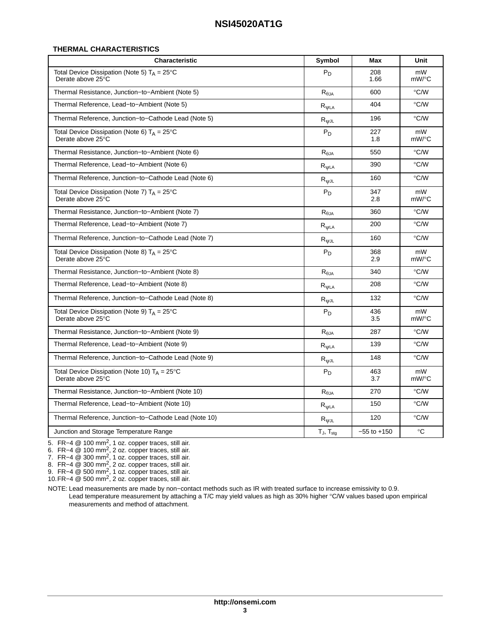#### **THERMAL CHARACTERISTICS**

| <b>Characteristic</b>                                                       | Symbol                            | Max             | Unit                    |
|-----------------------------------------------------------------------------|-----------------------------------|-----------------|-------------------------|
| Total Device Dissipation (Note 5) $T_A = 25^{\circ}C$<br>Derate above 25°C  | $P_D$                             | 208<br>1.66     | mW<br>mW/°C             |
| Thermal Resistance, Junction-to-Ambient (Note 5)                            | $\mathsf{R}_{\theta \mathsf{JA}}$ | 600             | °C/W                    |
| Thermal Reference, Lead-to-Ambient (Note 5)                                 | $R_{\psi LA}$                     | 404             | °C/W                    |
| Thermal Reference, Junction-to-Cathode Lead (Note 5)                        | $R_{\texttt{WJL}}$                | 196             | °C/W                    |
| Total Device Dissipation (Note 6) $T_A = 25^{\circ}C$<br>Derate above 25°C  | $P_D$                             | 227<br>1.8      | mW<br>mW/°C             |
| Thermal Resistance, Junction-to-Ambient (Note 6)                            | $R_{\theta$ JA                    | 550             | °C/W                    |
| Thermal Reference, Lead-to-Ambient (Note 6)                                 | $R_{\psi LA}$                     | 390             | $\mathrm{C}/\mathrm{W}$ |
| Thermal Reference, Junction-to-Cathode Lead (Note 6)                        | $R_{\text{WJL}}$                  | 160             | $\mathrm{C}/\mathrm{W}$ |
| Total Device Dissipation (Note 7) $T_A = 25^{\circ}C$<br>Derate above 25°C  | $P_D$                             | 347<br>2.8      | mW<br>mW/°C             |
| Thermal Resistance, Junction-to-Ambient (Note 7)                            | $\mathsf{R}_{\theta \mathsf{JA}}$ | 360             | °C/W                    |
| Thermal Reference, Lead-to-Ambient (Note 7)                                 | $R_{\text{WLA}}$                  | 200             | °C/W                    |
| Thermal Reference, Junction-to-Cathode Lead (Note 7)                        | $R_{\psi JL}$                     | 160             | °C/W                    |
| Total Device Dissipation (Note 8) $T_A = 25^{\circ}C$<br>Derate above 25°C  | $P_D$                             | 368<br>2.9      | mW<br>mW/°C             |
| Thermal Resistance, Junction-to-Ambient (Note 8)                            | $R_{\theta,IA}$                   | 340             | $\degree$ C/W           |
| Thermal Reference, Lead-to-Ambient (Note 8)                                 | $R_{\psi LA}$                     | 208             | °C/W                    |
| Thermal Reference, Junction-to-Cathode Lead (Note 8)                        | $R_{\text{WJL}}$                  | 132             | °C/W                    |
| Total Device Dissipation (Note 9) $T_A = 25^{\circ}C$<br>Derate above 25°C  | $P_D$                             | 436<br>3.5      | mW<br>mW/°C             |
| Thermal Resistance, Junction-to-Ambient (Note 9)                            | $R_{\theta$ JA                    | 287             | °C/W                    |
| Thermal Reference, Lead-to-Ambient (Note 9)                                 | $R_{\text{WLA}}$                  | 139             | °C/W                    |
| Thermal Reference, Junction-to-Cathode Lead (Note 9)                        | $R_{\texttt{WJL}}$                | 148             | °C/W                    |
| Total Device Dissipation (Note 10) $T_A = 25^{\circ}C$<br>Derate above 25°C | $P_D$                             | 463<br>3.7      | mW<br>mW/°C             |
| Thermal Resistance, Junction-to-Ambient (Note 10)                           | $R_{\theta JA}$                   | 270             | °C/W                    |
| Thermal Reference, Lead-to-Ambient (Note 10)                                | $R_{\psi LA}$                     | 150             | °C/W                    |
| Thermal Reference, Junction-to-Cathode Lead (Note 10)                       | $R_{\text{WJL}}$                  | 120             | °C/W                    |
| Junction and Storage Temperature Range                                      | $T_J$ , $T_{stg}$                 | $-55$ to $+150$ | $^{\circ}C$             |

5. FR−4 @ 100 mm<sup>2</sup>, 1 oz. copper traces, still air.

6. FR−4 @ 100 mm2, 2 oz. copper traces, still air.

7. FR−4 @ 300 mm<sup>2</sup>, 1 oz. copper traces, still air.

8. FR−4 @ 300 mm<sup>2</sup>, 2 oz. copper traces, still air.

9. FR−4 @ 500 mm<sup>2</sup>, 1 oz. copper traces, still air.

10.FR−4 @ 500 mm2, 2 oz. copper traces, still air.

NOTE: Lead measurements are made by non−contact methods such as IR with treated surface to increase emissivity to 0.9. Lead temperature measurement by attaching a T/C may yield values as high as 30% higher °C/W values based upon empirical measurements and method of attachment.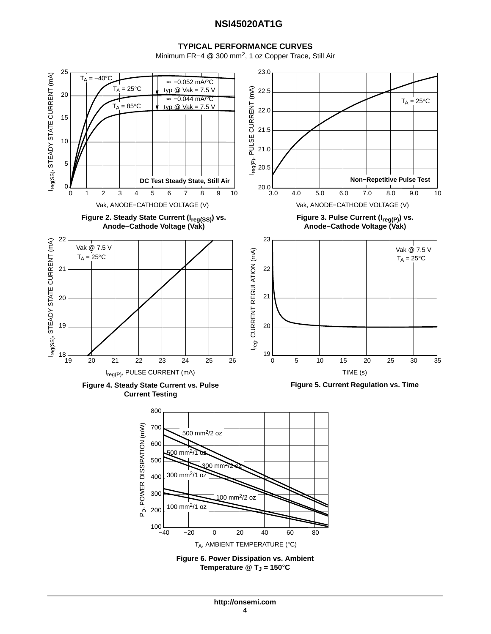#### **TYPICAL PERFORMANCE CURVES**

Minimum FR−4 @ 300 mm2, 1 oz Copper Trace, Still Air



**Temperature @ TJ = 150C**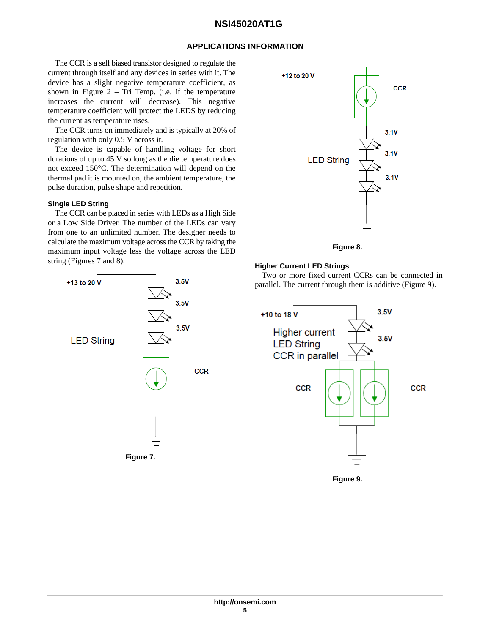#### **APPLICATIONS INFORMATION**

The CCR is a self biased transistor designed to regulate the current through itself and any devices in series with it. The device has a slight negative temperature coefficient, as shown in Figure  $2 - Tri$  Temp. (i.e. if the temperature increases the current will decrease). This negative temperature coefficient will protect the LEDS by reducing the current as temperature rises.

The CCR turns on immediately and is typically at 20% of regulation with only 0.5 V across it.

The device is capable of handling voltage for short durations of up to 45 V so long as the die temperature does not exceed 150°C. The determination will depend on the thermal pad it is mounted on, the ambient temperature, the pulse duration, pulse shape and repetition.

#### **Single LED String**

The CCR can be placed in series with LEDs as a High Side or a Low Side Driver. The number of the LEDs can vary from one to an unlimited number. The designer needs to calculate the maximum voltage across the CCR by taking the maximum input voltage less the voltage across the LED string (Figures 7 and 8).





**Figure 8.** 

#### **Higher Current LED Strings**

Two or more fixed current CCRs can be connected in parallel. The current through them is additive (Figure 9).



**Figure 9.**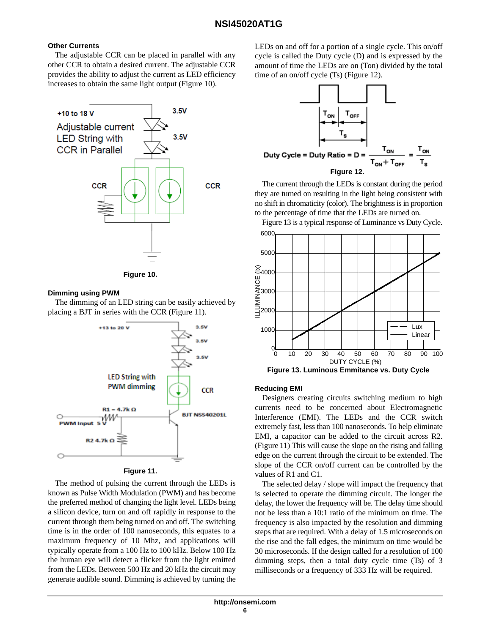#### **Other Currents**

The adjustable CCR can be placed in parallel with any other CCR to obtain a desired current. The adjustable CCR provides the ability to adjust the current as LED efficiency increases to obtain the same light output (Figure 10).





#### **Dimming using PWM**

The dimming of an LED string can be easily achieved by placing a BJT in series with the CCR (Figure 11).



**Figure 11.** 

The method of pulsing the current through the LEDs is known as Pulse Width Modulation (PWM) and has become the preferred method of changing the light level. LEDs being a silicon device, turn on and off rapidly in response to the current through them being turned on and off. The switching time is in the order of 100 nanoseconds, this equates to a maximum frequency of 10 Mhz, and applications will typically operate from a 100 Hz to 100 kHz. Below 100 Hz the human eye will detect a flicker from the light emitted from the LEDs. Between 500 Hz and 20 kHz the circuit may generate audible sound. Dimming is achieved by turning the LEDs on and off for a portion of a single cycle. This on/off cycle is called the Duty cycle (D) and is expressed by the amount of time the LEDs are on (Ton) divided by the total time of an on/off cycle (Ts) (Figure 12).



The current through the LEDs is constant during the period they are turned on resulting in the light being consistent with no shift in chromaticity (color). The brightness is in proportion to the percentage of time that the LEDs are turned on.

Figure 13 is a typical response of Luminance vs Duty Cycle. 6000



#### **Reducing EMI**

Designers creating circuits switching medium to high currents need to be concerned about Electromagnetic Interference (EMI). The LEDs and the CCR switch extremely fast, less than 100 nanoseconds. To help eliminate EMI, a capacitor can be added to the circuit across R2. (Figure 11) This will cause the slope on the rising and falling edge on the current through the circuit to be extended. The slope of the CCR on/off current can be controlled by the values of R1 and C1.

The selected delay / slope will impact the frequency that is selected to operate the dimming circuit. The longer the delay, the lower the frequency will be. The delay time should not be less than a 10:1 ratio of the minimum on time. The frequency is also impacted by the resolution and dimming steps that are required. With a delay of 1.5 microseconds on the rise and the fall edges, the minimum on time would be 30 microseconds. If the design called for a resolution of 100 dimming steps, then a total duty cycle time (Ts) of 3 milliseconds or a frequency of 333 Hz will be required.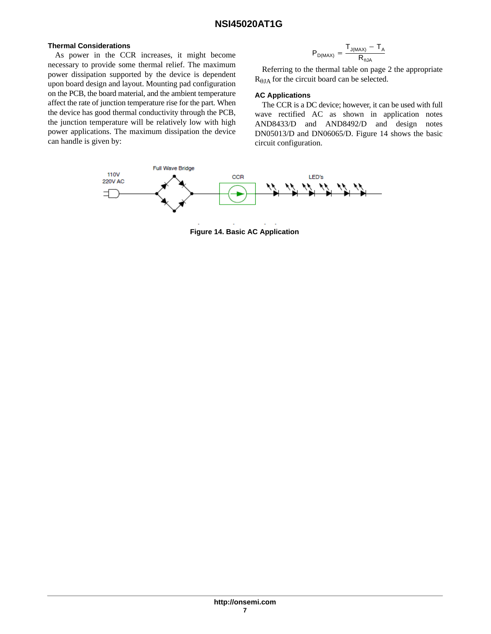#### **Thermal Considerations**

As power in the CCR increases, it might become necessary to provide some thermal relief. The maximum power dissipation supported by the device is dependent upon board design and layout. Mounting pad configuration on the PCB, the board material, and the ambient temperature affect the rate of junction temperature rise for the part. When the device has good thermal conductivity through the PCB, the junction temperature will be relatively low with high power applications. The maximum dissipation the device can handle is given by:

$$
P_{D(MAX)} = \frac{T_{J(MAX)} - T_A}{R_{\theta JA}}
$$

Referring to the thermal table on page 2 the appropriate  $R_{\theta J A}$  for the circuit board can be selected.

#### **AC Applications**

The CCR is a DC device; however, it can be used with full wave rectified AC as shown in application notes AND8433/D and AND8492/D and design notes DN05013/D and DN06065/D. Figure 14 shows the basic circuit configuration.



**Figure 14. Basic AC Application**